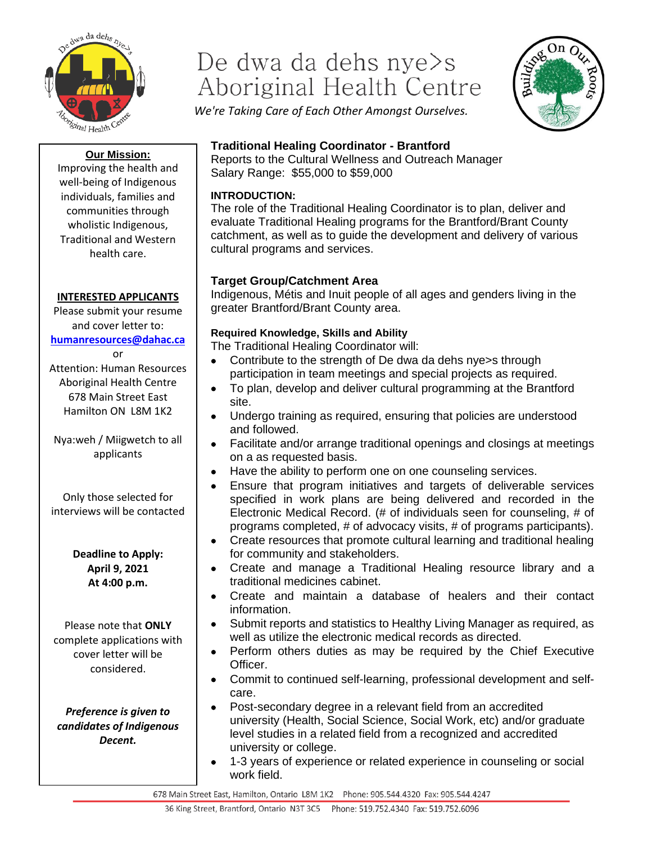

# De dwa da dehs nye>s Aboriginal Health Centre

*We're Taking Care of Each Other Amongst Ourselves.*



#### **Our Mission:**

Improving the health and well-being of Indigenous individuals, families and communities through wholistic Indigenous, Traditional and Western health care.

#### **INTERESTED APPLICANTS**

Please submit your resume and cover letter to: **[humanresources@dahac.ca](mailto:humanresources@dahac.ca)** or Attention: Human Resources Aboriginal Health Centre 678 Main Street East Hamilton ON L8M 1K2

Nya:weh / Miigwetch to all applicants

Only those selected for interviews will be contacted

> **Deadline to Apply: April 9, 2021 At 4:00 p.m.**

Please note that **ONLY** complete applications with cover letter will be considered.

*Preference is given to candidates of Indigenous Decent.*

#### **Traditional Healing Coordinator - Brantford**

Reports to the Cultural Wellness and Outreach Manager Salary Range: \$55,000 to \$59,000

#### **INTRODUCTION:**

The role of the Traditional Healing Coordinator is to plan, deliver and evaluate Traditional Healing programs for the Brantford/Brant County catchment, as well as to guide the development and delivery of various cultural programs and services.

### **Target Group/Catchment Area**

Indigenous, Métis and Inuit people of all ages and genders living in the greater Brantford/Brant County area.

#### **Required Knowledge, Skills and Ability**

The Traditional Healing Coordinator will:

- Contribute to the strength of De dwa da dehs nye is through participation in team meetings and special projects as required.
- To plan, develop and deliver cultural programming at the Brantford site.
- Undergo training as required, ensuring that policies are understood and followed.
- Facilitate and/or arrange traditional openings and closings at meetings on a as requested basis.
- Have the ability to perform one on one counseling services.
- Ensure that program initiatives and targets of deliverable services specified in work plans are being delivered and recorded in the Electronic Medical Record. (# of individuals seen for counseling, # of programs completed, # of advocacy visits, # of programs participants).
- Create resources that promote cultural learning and traditional healing for community and stakeholders.
- Create and manage a Traditional Healing resource library and a traditional medicines cabinet.
- Create and maintain a database of healers and their contact information.
- Submit reports and statistics to Healthy Living Manager as required, as well as utilize the electronic medical records as directed.
- Perform others duties as may be required by the Chief Executive Officer.
- Commit to continued self-learning, professional development and selfcare.
- Post-secondary degree in a relevant field from an accredited university (Health, Social Science, Social Work, etc) and/or graduate level studies in a related field from a recognized and accredited university or college.
- 1-3 years of experience or related experience in counseling or social work field.

#### 678 Main Street East, Hamilton, Ontario L8M 1K2 Phone: 905.544.4320 Fax: 905.544.4247